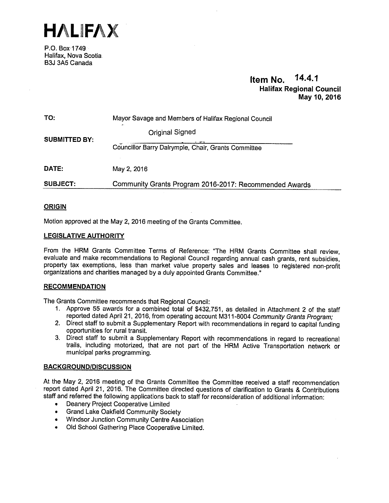

P.O. Box 1749 Halifax, Nova Scotia B3J 3A5 Canada

# Item No. 14.4.1 Halifax Regional Council May 10,2016

| TO:                  | Mayor Savage and Members of Halifax Regional Council<br>st. |
|----------------------|-------------------------------------------------------------|
| <b>SUBMITTED BY:</b> | <b>Original Signed</b>                                      |
|                      | Councillor Barry Dalrymple, Chair, Grants Committee         |
| DATE:                | May 2, 2016                                                 |
| <b>SUBJECT:</b>      | Community Grants Program 2016-2017: Recommended Awards      |

#### **ORIGIN**

Motion approved at the May 2, 2016 meeting of the Grants Committee.

#### LEGISLATIVE AUTHORITY

From the HRM Grants Committee Terms of Reference: "The HRM Grants Committee shall review, evaluate and make recommendations to Regional Council regarding annual cash grants, rent subsidies, property tax exemptions, less than market value property sales and leases to registered non-profit organizations and charities managed by <sup>a</sup> duly appointed Grants Committee."

#### **RECOMMENDATION**

The Grants Committee recommends that Regional Council:

- 1. Approve 55 awards for <sup>a</sup> combined total of \$432,751, as detailed in Attachment <sup>2</sup> of the staff reported dated April 21, 2016, from operating account M311-8004 Community Grants Program;
- 2. Direct staff to submit <sup>a</sup> Supplementary Report with recommendations in regard to capital funding opportunities for rural transit.
- 3. Direct staff to submit <sup>a</sup> Supplementary Report with recommendations in regard to recreational trails, including motorized, that are not part of the HRM Active Transportation network or municipal parks programming.

#### BACKGROUND/DISCUSSION

At the May 2, 2016 meeting of the Grants Committee the Committee received <sup>a</sup> staff recommendation report dated April 21, 2016. The Committee directed questions of clarification to Grants & Contributions staff and referred the following applications back to staff for reconsideration of additional information:

- •Deanery Project Cooperative Limited
- •Grand Lake Oakfleld Community Society
- •Windsor Junction Community Centre Association
- •Old School Gathering Place Cooperative Limited.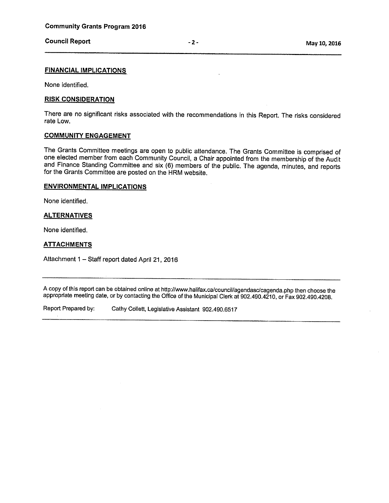# Council Report **Council Report** 2 - 2 - Council Report

#### FINANCIAL IMPLICATIONS

None identified.

#### RISK CONSIDERATION

There are no significant risks associated with the recommendations in this Report. The risks considered rate Low.

#### COMMUNITY ENGAGEMENT

The Grants Committee meetings are open to public attendance. The Grants Committee is comprised of one elected member from each Community Council, <sup>a</sup> Chair appointed from the membership of the Audit and Finance Standing Committee and six (6) members of the public. The agenda, minutes, and reports for the Grants Committee are posted on the HRM website.

#### ENVIRONMENTAL IMPLICATIONS

None identified.

#### **ALTERNATIVES**

None identified.

#### **ATTACHMENTS**

Attachment <sup>1</sup> — Staff report dated April 21, <sup>2016</sup>

A copy of this report can be obtained online at http://www.halifax.ca/council/agendasc/cagenda.php then choose the appropriate meeting date, or by contacting the Office of the Municipal Clerk at 902.490.4210, or Fax 902.490.4208.

Report Prepared by: Cathy Colleft, Legislative Assistant 902.490.6517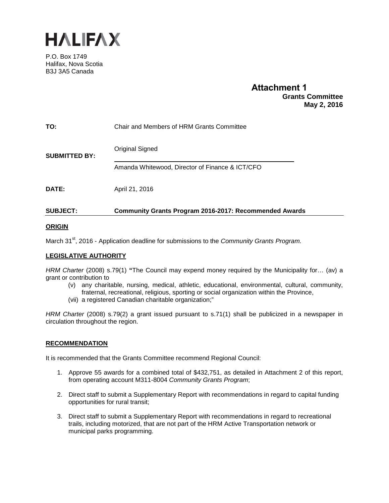

P.O. Box 1749 Halifax, Nova Scotia B3J 3A5 Canada

# **Attachment 1 Grants Committee May 2, 2016**

| AUD 1587             | $\overline{\phantom{a}}$ , and a contract the contract of the contract of the contract of the contract of the contract of the contract of the contract of the contract of the contract of the contract of the contract of the contract of |
|----------------------|-------------------------------------------------------------------------------------------------------------------------------------------------------------------------------------------------------------------------------------------|
| <b>DATE:</b>         | April 21, 2016                                                                                                                                                                                                                            |
| <b>SUBMITTED BY:</b> | Original Signed<br>Amanda Whitewood, Director of Finance & ICT/CFO                                                                                                                                                                        |
| TO:                  | Chair and Members of HRM Grants Committee                                                                                                                                                                                                 |

## **SUBJECT: Community Grants Program 2016-2017: Recommended Awards**

#### **ORIGIN**

March 31<sup>st</sup>, 2016 - Application deadline for submissions to the *Community Grants Program.* 

#### **LEGISLATIVE AUTHORITY**

*HRM Charter* (2008) s.79(1) **"**The Council may expend money required by the Municipality for… (av) a grant or contribution to

- (v) any charitable, nursing, medical, athletic, educational, environmental, cultural, community, fraternal, recreational, religious, sporting or social organization within the Province,
- (vii) a registered Canadian charitable organization;"

*HRM Charter* (2008) s.79(2) a grant issued pursuant to s.71(1) shall be publicized in a newspaper in circulation throughout the region.

#### **RECOMMENDATION**

It is recommended that the Grants Committee recommend Regional Council:

- 1. Approve 55 awards for a combined total of \$432,751, as detailed in Attachment 2 of this report, from operating account M311-8004 *Community Grants Program*;
- 2. Direct staff to submit a Supplementary Report with recommendations in regard to capital funding opportunities for rural transit;
- 3. Direct staff to submit a Supplementary Report with recommendations in regard to recreational trails, including motorized, that are not part of the HRM Active Transportation network or municipal parks programming.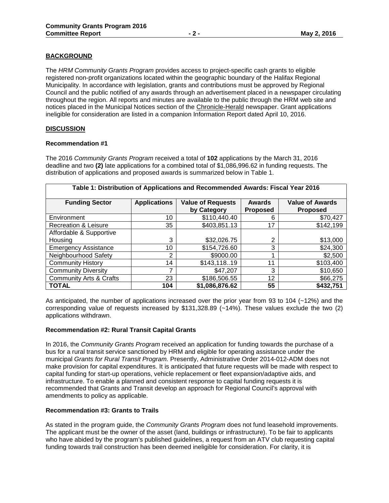#### **BACKGROUND**

The *HRM Community Grants Program* provides access to project-specific cash grants to eligible registered non-profit organizations located within the geographic boundary of the Halifax Regional Municipality. In accordance with legislation, grants and contributions must be approved by Regional Council and the public notified of any awards through an advertisement placed in a newspaper circulating throughout the region. All reports and minutes are available to the public through the HRM web site and notices placed in the Municipal Notices section of the Chronicle-Herald newspaper. Grant applications ineligible for consideration are listed in a companion Information Report dated April 10, 2016.

#### **DISCUSSION**

#### **Recommendation #1**

The 2016 *Community Grants Program* received a total of **102** applications by the March 31, 2016 deadline and two **(2)** late applications for a combined total of \$1,086,996.62 in funding requests. The distribution of applications and proposed awards is summarized below in Table 1.

| Table 1: Distribution of Applications and Recommended Awards: Fiscal Year 2016 |                     |                                         |                                  |                                           |  |  |
|--------------------------------------------------------------------------------|---------------------|-----------------------------------------|----------------------------------|-------------------------------------------|--|--|
| <b>Funding Sector</b>                                                          | <b>Applications</b> | <b>Value of Requests</b><br>by Category | <b>Awards</b><br><b>Proposed</b> | <b>Value of Awards</b><br><b>Proposed</b> |  |  |
| Environment                                                                    | 10                  | \$110,440.40                            | 6                                | \$70,427                                  |  |  |
| <b>Recreation &amp; Leisure</b>                                                | 35                  | \$403,851.13                            | 17                               | \$142,199                                 |  |  |
| Affordable & Supportive                                                        |                     |                                         |                                  |                                           |  |  |
| Housing                                                                        | 3                   | \$32,026.75                             | 2                                | \$13,000                                  |  |  |
| <b>Emergency Assistance</b>                                                    | 10                  | \$154,726.60                            | 3                                | \$24,300                                  |  |  |
| Neighbourhood Safety                                                           | 2                   | \$9000.00                               |                                  | \$2,500                                   |  |  |
| <b>Community History</b>                                                       | 14                  | \$143,11819                             | 11                               | \$103,400                                 |  |  |
| <b>Community Diversity</b>                                                     | 7                   | \$47,207                                | 3                                | \$10,650                                  |  |  |
| <b>Community Arts &amp; Crafts</b>                                             | 23                  | \$186,506.55                            | 12                               | \$66,275                                  |  |  |
| <b>TOTAL</b>                                                                   | 104                 | \$1,086,876.62                          | 55                               | \$432,751                                 |  |  |

As anticipated, the number of applications increased over the prior year from 93 to 104 (~12%) and the corresponding value of requests increased by \$131,328.89 (~14%). These values exclude the two (2) applications withdrawn.

#### **Recommendation #2: Rural Transit Capital Grants**

In 2016, the *Community Grants Program* received an application for funding towards the purchase of a bus for a rural transit service sanctioned by HRM and eligible for operating assistance under the municipal *Grants for Rural Transit Program.* Presently, Administrative Order 2014-012-ADM does not make provision for capital expenditures. It is anticipated that future requests will be made with respect to capital funding for start-up operations, vehicle replacement or fleet expansion/adaptive aids, and infrastructure. To enable a planned and consistent response to capital funding requests it is recommended that Grants and Transit develop an approach for Regional Council's approval with amendments to policy as applicable.

#### **Recommendation #3: Grants to Trails**

As stated in the program guide, the *Community Grants Program* does not fund leasehold improvements. The applicant must be the owner of the asset (land, buildings or infrastructure). To be fair to applicants who have abided by the program's published guidelines, a request from an ATV club requesting capital funding towards trail construction has been deemed ineligible for consideration. For clarity, it is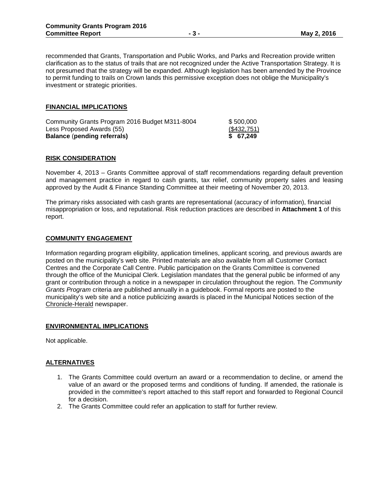recommended that Grants, Transportation and Public Works, and Parks and Recreation provide written clarification as to the status of trails that are not recognized under the Active Transportation Strategy. It is not presumed that the strategy will be expanded. Although legislation has been amended by the Province to permit funding to trails on Crown lands this permissive exception does not oblige the Municipality's investment or strategic priorities.

#### **FINANCIAL IMPLICATIONS**

| Community Grants Program 2016 Budget M311-8004 | \$500,000   |
|------------------------------------------------|-------------|
| Less Proposed Awards (55)                      | (\$432,751) |
| <b>Balance (pending referrals)</b>             | \$ 67.249   |

#### **RISK CONSIDERATION**

November 4, 2013 – Grants Committee approval of staff recommendations regarding default prevention and management practice in regard to cash grants, tax relief, community property sales and leasing approved by the Audit & Finance Standing Committee at their meeting of November 20, 2013.

The primary risks associated with cash grants are representational (accuracy of information), financial misappropriation or loss, and reputational. Risk reduction practices are described in **Attachment 1** of this report.

#### **COMMUNITY ENGAGEMENT**

Information regarding program eligibility, application timelines, applicant scoring, and previous awards are posted on the municipality's web site. Printed materials are also available from all Customer Contact Centres and the Corporate Call Centre. Public participation on the Grants Committee is convened through the office of the Municipal Clerk. Legislation mandates that the general public be informed of any grant or contribution through a notice in a newspaper in circulation throughout the region. The *Community Grants Program* criteria are published annually in a guidebook. Formal reports are posted to the municipality's web site and a notice publicizing awards is placed in the Municipal Notices section of the Chronicle-Herald newspaper.

#### **ENVIRONMENTAL IMPLICATIONS**

Not applicable.

#### **ALTERNATIVES**

- 1. The Grants Committee could overturn an award or a recommendation to decline, or amend the value of an award or the proposed terms and conditions of funding. If amended, the rationale is provided in the committee's report attached to this staff report and forwarded to Regional Council for a decision.
- 2. The Grants Committee could refer an application to staff for further review.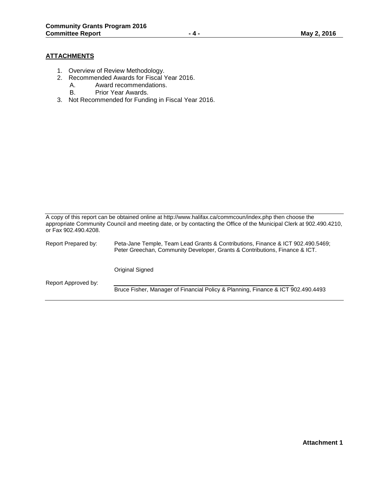#### **ATTACHMENTS**

- 1. Overview of Review Methodology.
- 2. Recommended Awards for Fiscal Year 2016.
	- A. Award recommendations.
	- B. Prior Year Awards.
- 3. Not Recommended for Funding in Fiscal Year 2016.

A copy of this report can be obtained online at http://www.halifax.ca/commcoun/index.php then choose the appropriate Community Council and meeting date, or by contacting the Office of the Municipal Clerk at 902.490.4210, or Fax 902.490.4208.

Report Prepared by: Peta-Jane Temple, Team Lead Grants & Contributions, Finance & ICT 902.490.5469; Peter Greechan, Community Developer, Grants & Contributions, Finance & ICT. Original Signed Report Approved by: Bruce Fisher, Manager of Financial Policy & Planning, Finance & ICT 902.490.4493

**Attachment 1**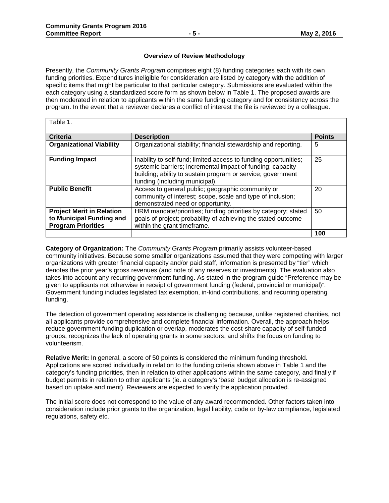#### **Overview of Review Methodology**

Presently, the *Community Grants Program* comprises eight (8) funding categories each with its own funding priorities. Expenditures ineligible for consideration are listed by category with the addition of specific items that might be particular to that particular category. Submissions are evaluated within the each category using a standardized score form as shown below in Table 1. The proposed awards are then moderated in relation to applicants within the same funding category and for consistency across the program. In the event that a reviewer declares a conflict of interest the file is reviewed by a colleague.

| Table 1.                                                                                  |                                                                                                                                                                                                                                 |               |
|-------------------------------------------------------------------------------------------|---------------------------------------------------------------------------------------------------------------------------------------------------------------------------------------------------------------------------------|---------------|
| <b>Criteria</b>                                                                           | <b>Description</b>                                                                                                                                                                                                              | <b>Points</b> |
| <b>Organizational Viability</b>                                                           | Organizational stability; financial stewardship and reporting.                                                                                                                                                                  | 5             |
| <b>Funding Impact</b>                                                                     | Inability to self-fund; limited access to funding opportunities;<br>systemic barriers; incremental impact of funding; capacity<br>building; ability to sustain program or service; government<br>funding (including municipal). | 25            |
| <b>Public Benefit</b>                                                                     | Access to general public; geographic community or<br>community of interest; scope, scale and type of inclusion;<br>demonstrated need or opportunity.                                                                            | 20            |
| <b>Project Merit in Relation</b><br>to Municipal Funding and<br><b>Program Priorities</b> | HRM mandate/priorities; funding priorities by category; stated<br>goals of project; probability of achieving the stated outcome<br>within the grant timeframe.                                                                  | 50            |
|                                                                                           |                                                                                                                                                                                                                                 | 100           |

**Category of Organization:** The *Community Grants Program* primarily assists volunteer-based community initiatives. Because some smaller organizations assumed that they were competing with larger organizations with greater financial capacity and/or paid staff, information is presented by "tier" which denotes the prior year's gross revenues (and note of any reserves or investments). The evaluation also takes into account any recurring government funding. As stated in the program guide "Preference may be given to applicants not otherwise in receipt of government funding (federal, provincial or municipal)". Government funding includes legislated tax exemption, in-kind contributions, and recurring operating funding.

The detection of government operating assistance is challenging because, unlike registered charities, not all applicants provide comprehensive and complete financial information. Overall, the approach helps reduce government funding duplication or overlap, moderates the cost-share capacity of self-funded groups, recognizes the lack of operating grants in some sectors, and shifts the focus on funding to volunteerism.

**Relative Merit:** In general, a score of 50 points is considered the minimum funding threshold. Applications are scored individually in relation to the funding criteria shown above in Table 1 and the category's funding priorities, then in relation to other applications within the same category, and finally if budget permits in relation to other applicants (ie. a category's 'base' budget allocation is re-assigned based on uptake and merit). Reviewers are expected to verify the application provided.

The initial score does not correspond to the value of any award recommended. Other factors taken into consideration include prior grants to the organization, legal liability, code or by-law compliance, legislated regulations, safety etc.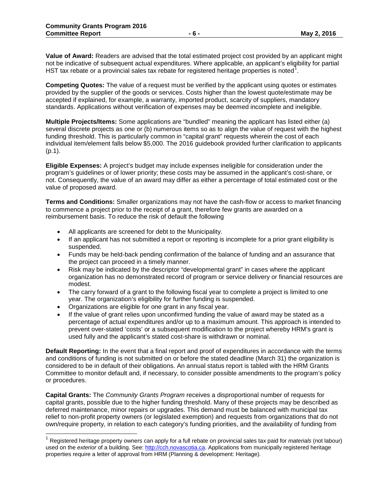**Value of Award:** Readers are advised that the total estimated project cost provided by an applicant might not be indicative of subsequent actual expenditures. Where applicable, an applicant's eligibility for partial HST tax rebate or a provincial sales tax rebate for registered heritage properties is noted<sup>1</sup>.

**Competing Quotes:** The value of a request must be verified by the applicant using quotes or estimates provided by the supplier of the goods or services. Costs higher than the lowest quote/estimate may be accepted if explained, for example, a warranty, imported product, scarcity of suppliers, mandatory standards. Applications without verification of expenses may be deemed incomplete and ineligible.

**Multiple Projects/Items:** Some applications are "bundled" meaning the applicant has listed either (a) several discrete projects as one or (b) numerous items so as to align the value of request with the highest funding threshold. This is particularly common in "capital grant" requests wherein the cost of each individual item/element falls below \$5,000. The 2016 guidebook provided further clarification to applicants (p.1).

**Eligible Expenses:** A project's budget may include expenses ineligible for consideration under the program's guidelines or of lower priority; these costs may be assumed in the applicant's cost-share, or not. Consequently, the value of an award may differ as either a percentage of total estimated cost or the value of proposed award.

**Terms and Conditions:** Smaller organizations may not have the cash-flow or access to market financing to commence a project prior to the receipt of a grant, therefore few grants are awarded on a reimbursement basis. To reduce the risk of default the following

- All applicants are screened for debt to the Municipality.
- If an applicant has not submitted a report or reporting is incomplete for a prior grant eligibility is suspended.
- Funds may be held-back pending confirmation of the balance of funding and an assurance that the project can proceed in a timely manner.
- Risk may be indicated by the descriptor "developmental grant" in cases where the applicant organization has no demonstrated record of program or service delivery or financial resources are modest.
- The carry forward of a grant to the following fiscal year to complete a project is limited to one year. The organization's eligibility for further funding is suspended.
- Organizations are eligible for one grant in any fiscal year.

 $\overline{a}$ 

• If the value of grant relies upon unconfirmed funding the value of award may be stated as a percentage of actual expenditures and/or up to a maximum amount. This approach is intended to prevent over-stated 'costs' or a subsequent modification to the project whereby HRM's grant is used fully and the applicant's stated cost-share is withdrawn or nominal.

**Default Reporting:** In the event that a final report and proof of expenditures in accordance with the terms and conditions of funding is not submitted on or before the stated deadline (March 31) the organization is considered to be in default of their obligations. An annual status report is tabled with the HRM Grants Committee to monitor default and, if necessary, to consider possible amendments to the program's policy or procedures.

**Capital Grants:** The *Community Grants Program* receives a disproportional number of requests for capital grants, possible due to the higher funding threshold. Many of these projects may be described as deferred maintenance, minor repairs or upgrades. This demand must be balanced with municipal tax relief to non-profit property owners (or legislated exemption) and requests from organizations that do not own/require property, in relation to each category's funding priorities, and the availability of funding from

<sup>1</sup> Registered heritage property owners can apply for a full rebate on provincial sales tax paid for *materials* (not labour) used on the *exterior* of a building. See: http://cch.novascotia.ca</u>. Applications from municipally registered heritage properties require a letter of approval from HRM (Planning & development: Heritage).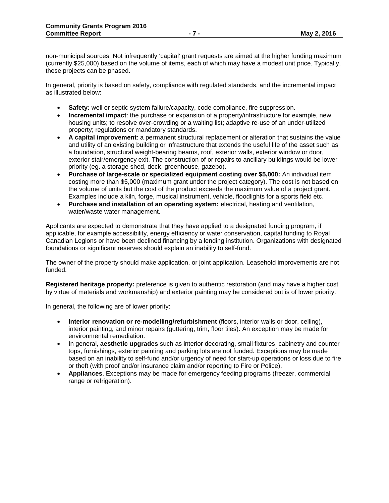non-municipal sources. Not infrequently 'capital' grant requests are aimed at the higher funding maximum (currently \$25,000) based on the volume of items, each of which may have a modest unit price. Typically, these projects can be phased.

In general, priority is based on safety, compliance with regulated standards, and the incremental impact as illustrated below:

- **Safety:** well or septic system failure/capacity, code compliance, fire suppression.
- **Incremental impact**: the purchase or expansion of a property/infrastructure for example, new housing units; to resolve over-crowding or a waiting list; adaptive re-use of an under-utilized property; regulations or mandatory standards.
- **A capital improvement**: a permanent structural replacement or alteration that sustains the value and utility of an existing building or infrastructure that extends the useful life of the asset such as a foundation, structural weight-bearing beams, roof, exterior walls, exterior window or door, exterior stair/emergency exit. The construction of or repairs to ancillary buildings would be lower priority (eg. a storage shed, deck, greenhouse, gazebo).
- **Purchase of large-scale or specialized equipment costing over \$5,000:** An individual item costing more than \$5,000 (maximum grant under the project category). The cost is not based on the volume of units but the cost of the product exceeds the maximum value of a project grant. Examples include a kiln, forge, musical instrument, vehicle, floodlights for a sports field etc.
- **Purchase and installation of an operating system:** electrical, heating and ventilation, water/waste water management.

Applicants are expected to demonstrate that they have applied to a designated funding program, if applicable, for example accessibility, energy efficiency or water conservation, capital funding to Royal Canadian Legions or have been declined financing by a lending institution. Organizations with designated foundations or significant reserves should explain an inability to self-fund.

The owner of the property should make application, or joint application. Leasehold improvements are not funded.

**Registered heritage property:** preference is given to authentic restoration (and may have a higher cost by virtue of materials and workmanship) and exterior painting may be considered but is of lower priority.

In general, the following are of lower priority:

- **Interior renovation or re-modelling/refurbishment** (floors, interior walls or door, ceiling), interior painting, and minor repairs (guttering, trim, floor tiles). An exception may be made for environmental remediation.
- In general, **aesthetic upgrades** such as interior decorating, small fixtures, cabinetry and counter tops, furnishings, exterior painting and parking lots are not funded. Exceptions may be made based on an inability to self-fund and/or urgency of need for start-up operations or loss due to fire or theft (with proof and/or insurance claim and/or reporting to Fire or Police).
- **Appliances**. Exceptions may be made for emergency feeding programs (freezer, commercial range or refrigeration).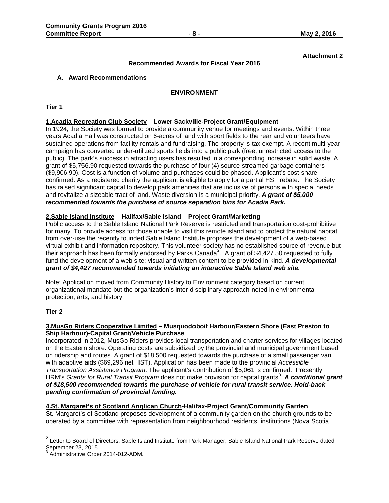#### **Attachment 2**

#### **Recommended Awards for Fiscal Year 2016**

#### **A. Award Recommendations**

#### **ENVIRONMENT**

#### **Tier 1**

#### **1.Acadia Recreation Club Society – Lower Sackville-Project Grant/Equipment**

In 1924, the Society was formed to provide a community venue for meetings and events. Within three years Acadia Hall was constructed on 6-acres of land with sport fields to the rear and volunteers have sustained operations from facility rentals and fundraising. The property is tax exempt. A recent multi-year campaign has converted under-utilized sports fields into a public park (free, unrestricted access to the public). The park's success in attracting users has resulted in a corresponding increase in solid waste. A grant of \$5,756.90 requested towards the purchase of four (4) source-streamed garbage containers (\$9,906.90). Cost is a function of volume and purchases could be phased. Applicant's cost-share confirmed. As a registered charity the applicant is eligible to apply for a partial HST rebate. The Society has raised significant capital to develop park amenities that are inclusive of persons with special needs and revitalize a sizeable tract of land. Waste diversion is a municipal priority. *A grant of \$5,000 recommended towards the purchase of source separation bins for Acadia Park.*

#### **2.Sable Island Institute – Halifax/Sable Island – Project Grant/Marketing**

Public access to the Sable Island National Park Reserve is restricted and transportation cost-prohibitive for many. To provide access for those unable to visit this remote island and to protect the natural habitat from over-use the recently founded Sable Island Institute proposes the development of a web-based virtual exhibit and information repository. This volunteer society has no established source of revenue but their approach has been formally endorsed by Parks Canada<sup>2</sup>. A grant of \$4,427.50 requested to fully fund the development of a web site: visual and written content to be provided in-kind. *A developmental grant of \$4,427 recommended towards initiating an interactive Sable Island web site.*

Note: Application moved from Community History to Environment category based on current organizational mandate but the organization's inter-disciplinary approach noted in environmental protection, arts, and history.

#### **Tier 2**

 $\overline{a}$ 

#### **3.MusGo Riders Cooperative Limited – Musquodoboit Harbour/Eastern Shore (East Preston to Ship Harbour)-Capital Grant/Vehicle Purchase**

Incorporated in 2012, MusGo Riders provides local transportation and charter services for villages located on the Eastern shore. Operating costs are subsidized by the provincial and municipal government based on ridership and routes. A grant of \$18,500 requested towards the purchase of a small passenger van with adaptive aids (\$69,296 net HST). Application has been made to the provincial *Accessible Transportation Assistance Program*. The applicant's contribution of \$5,061 is confirmed. Presently, HRM's *Grants for Rural Transit Program* does not make provision for capital grants<sup>3</sup>. A conditional grant *of \$18,500 recommended towards the purchase of vehicle for rural transit service. Hold-back pending confirmation of provincial funding.*

# **4.St. Margaret's of Scotland Anglican Church-Halifax-Project Grant/Community Garden**

St. Margaret's of Scotland proposes development of a community garden on the church grounds to be operated by a committee with representation from neighbourhood residents, institutions (Nova Scotia

 $^2$  Letter to Board of Directors, Sable Island Institute from Park Manager, Sable Island National Park Reserve dated September 23, 2015.<br><sup>3</sup>. Administrative Orde

Administrative Order 2014-012-ADM.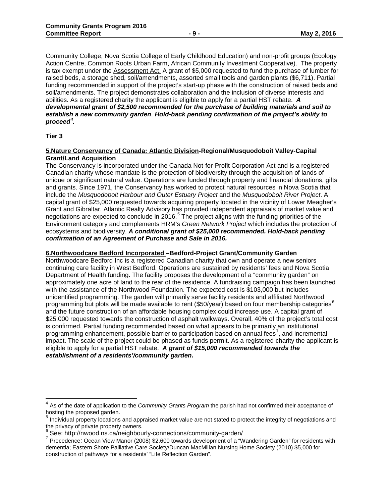Community College, Nova Scotia College of Early Childhood Education) and non-profit groups (Ecology Action Centre, Common Roots Urban Farm, African Community Investment Cooperative). The property is tax exempt under the Assessment Act. A grant of \$5,000 requested to fund the purchase of lumber for raised beds, a storage shed, soil/amendments, assorted small tools and garden plants (\$6,711). Partial funding recommended in support of the project's start-up phase with the construction of raised beds and soil/amendments. The project demonstrates collaboration and the inclusion of diverse interests and abilities. As a registered charity the applicant is eligible to apply for a partial HST rebate. *A developmental grant of \$2,500 recommended for the purchase of building materials and soil to establish a new community garden*. *Hold-back pending confirmation of the project's ability to proceed<sup>4</sup> .*

#### **Tier 3**

 $\overline{\phantom{a}}$ 

#### **5.Nature Conservancy of Canada: Atlantic Division-Regional/Musquodoboit Valley-Capital Grant/Land Acquisition**

The Conservancy is incorporated under the Canada Not-for-Profit Corporation Act and is a registered Canadian charity whose mandate is the protection of biodiversity through the acquisition of lands of unique or significant natural value. Operations are funded through property and financial donations, gifts and grants. Since 1971, the Conservancy has worked to protect natural resources in Nova Scotia that include the *Musquodoboit Harbour and Outer Estuary Project* and the *Musquodoboit River Project*. A capital grant of \$25,000 requested towards acquiring property located in the vicinity of Lower Meagher's Grant and Gibraltar. Atlantic Realty Advisory has provided independent appraisals of market value and negotiations are expected to conclude in 2016. $5$  The project aligns with the funding priorities of the Environment category and complements HRM's *Green Network Project* which includes the protection of ecosystems and biodiversity. *A conditional grant of \$25,000 recommended. Hold-back pending confirmation of an Agreement of Purchase and Sale in 2016.*

#### **6.Northwoodcare Bedford Incorporated –Bedford-Project Grant/Community Garden**

Northwoodcare Bedford Inc is a registered Canadian charity that own and operate a new seniors continuing care facility in West Bedford. Operations are sustained by residents' fees and Nova Scotia Department of Health funding. The facility proposes the development of a "community garden" on approximately one acre of land to the rear of the residence. A fundraising campaign has been launched with the assistance of the Northwood Foundation. The expected cost is \$103,000 but includes unidentified programming. The garden will primarily serve facility residents and affiliated Northwood programming but plots will be made available to rent (\$50/year) based on four membership categories<sup>6</sup> and the future construction of an affordable housing complex could increase use. A capital grant of \$25,000 requested towards the construction of asphalt walkways. Overall, 40% of the project's total cost is confirmed. Partial funding recommended based on what appears to be primarily an institutional programming enhancement, possible barrier to participation based on annual fees<sup>7</sup>, and incremental impact. The scale of the project could be phased as funds permit. As a registered charity the applicant is eligible to apply for a partial HST rebate. *A grant of \$15,000 recommended towards the establishment of a residents'/community garden.*

<sup>4</sup> As of the date of application to the *Community Grants Program* the parish had not confirmed their acceptance of hosting the proposed garden.<br>
<sup>5</sup> Individual

<sup>5</sup> Individual property locations and appraised market value are not stated to protect the integrity of negotiations and the privacy of private property owners.<br>
<sup>6</sup> See: http://nwood.ns.ca/neighbourly-connections/community-garden/

 $\frac{1}{7}$  Precedence: Ocean View Manor (2008) \$2,600 towards development of a "Wandering Garden" for residents with dementia; Eastern Shore Palliative Care Society/Duncan MacMillan Nursing Home Society (2010) \$5,000 for construction of pathways for a residents' "Life Reflection Garden".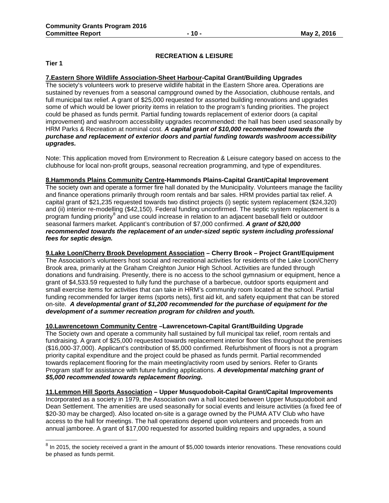#### **RECREATION & LEISURE**

**Tier 1**

 $\overline{a}$ 

#### **7.Eastern Shore Wildlife Association-Sheet Harbour-Capital Grant/Building Upgrades**

The society's volunteers work to preserve wildlife habitat in the Eastern Shore area. Operations are sustained by revenues from a seasonal campground owned by the Association, clubhouse rentals, and full municipal tax relief. A grant of \$25,000 requested for assorted building renovations and upgrades some of which would be lower priority items in relation to the program's funding priorities. The project could be phased as funds permit. Partial funding towards replacement of exterior doors (a capital improvement) and washroom accessibility upgrades recommended: the hall has been used seasonally by HRM Parks & Recreation at nominal cost. *A capital grant of \$10,000 recommended towards the purchase and replacement of exterior doors and partial funding towards washroom accessibility upgrades.*

Note: This application moved from Environment to Recreation & Leisure category based on access to the clubhouse for local non-profit groups, seasonal recreation programming, and type of expenditures.

#### **8.Hammonds Plains Community Centre-Hammonds Plains-Capital Grant/Capital Improvement**

The society own and operate a former fire hall donated by the Municipality. Volunteers manage the facility and finance operations primarily through room rentals and bar sales. HRM provides partial tax relief. A capital grant of \$21,235 requested towards two distinct projects (i) septic system replacement (\$24,320) and (ii) interior re-modelling (\$42,150). Federal funding unconfirmed. The septic system replacement is a program funding priority<sup>8</sup> and use could increase in relation to an adjacent baseball field or outdoor seasonal farmers market. Applicant's contribution of \$7,000 confirmed. *A grant of \$20,000 recommended towards the replacement of an under-sized septic system including professional fees for septic design.*

**9.Lake Loon/Cherry Brook Development Association – Cherry Brook – Project Grant/Equipment** The Association's volunteers host social and recreational activities for residents of the Lake Loon/Cherry Brook area, primarily at the Graham Creighton Junior High School. Activities are funded through donations and fundraising. Presently, there is no access to the school gymnasium or equipment, hence a grant of \$4,533.59 requested to fully fund the purchase of a barbecue, outdoor sports equipment and small exercise items for activities that can take in HRM's community room located at the school. Partial funding recommended for larger items (sports nets), first aid kit, and safety equipment that can be stored on-site. *A developmental grant of \$1,200 recommended for the purchase of equipment for the development of a summer recreation program for children and youth.*

**10.Lawrencetown Community Centre –Lawrencetown-Capital Grant/Building Upgrade**

The Society own and operate a community hall sustained by full municipal tax relief, room rentals and fundraising. A grant of \$25,000 requested towards replacement interior floor tiles throughout the premises (\$16,000-37,000). Applicant's contribution of \$5,000 confirmed. Refurbishment of floors is not a program priority capital expenditure and the project could be phased as funds permit. Partial recommended towards replacement flooring for the main meeting/activity room used by seniors. Refer to Grants Program staff for assistance with future funding applications. *A developmental matching grant of \$5,000 recommended towards replacement flooring.*

**11.Lemmon Hill Sports Association – Upper Musquodoboit-Capital Grant/Capital Improvements** Incorporated as a society in 1979, the Association own a hall located between Upper Musquodoboit and Dean Settlement. The amenities are used seasonally for social events and leisure activities (a fixed fee of \$20-30 may be charged). Also located on-site is a garage owned by the PUMA ATV Club who have access to the hall for meetings. The hall operations depend upon volunteers and proceeds from an annual jamboree. A grant of \$17,000 requested for assorted building repairs and upgrades, a sound

 $^8$  In 2015, the society received a grant in the amount of \$5,000 towards interior renovations. These renovations could be phased as funds permit.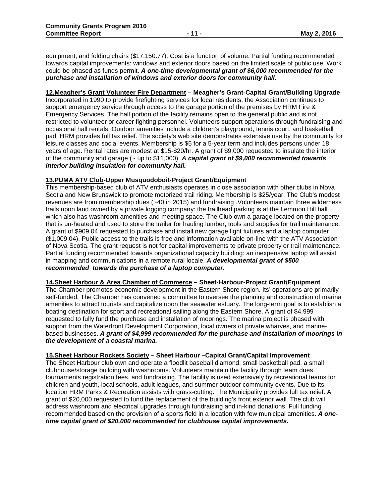equipment, and folding chairs (\$17,150.77). Cost is a function of volume. Partial funding recommended towards capital improvements: windows and exterior doors based on the limited scale of public use. Work could be phased as funds permit. *A one-time developmental grant of \$6,000 recommended for the purchase and installation of windows and exterior doors for community hall.*

#### **12.Meagher's Grant Volunteer Fire Department – Meagher's Grant-Capital Grant/Building Upgrade**

Incorporated in 1990 to provide firefighting services for local residents, the Association continues to support emergency service through access to the garage portion of the premises by HRM Fire & Emergency Services. The hall portion of the facility remains open to the general public and is not restricted to volunteer or career fighting personnel. Volunteers support operations through fundraising and occasional hall rentals. Outdoor amenities include a children's playground, tennis court, and basketball pad. HRM provides full tax relief. The society's web site demonstrates extensive use by the community for leisure classes and social events. Membership is \$5 for a 5-year term and includes persons under 18 years of age. Rental rates are modest at \$15-\$20/hr. A grant of \$9,000 requested to insulate the interior of the community and garage (~ up to \$11,000). *A capital grant of \$9,000 recommended towards interior building insulation for community hall.*

#### **13.PUMA ATV Club-Upper Musquodoboit-Project Grant/Equipment**

This membership-based club of ATV enthusiasts operates in close association with other clubs in Nova Scotia and New Brunswick to promote motorized trail riding. Membership is \$25/year. The Club's modest revenues are from membership dues (~40 in 2015) and fundraising .Volunteers maintain three wilderness trails upon land owned by a private logging company: the trailhead parking is at the Lemmon Hill hall which also has washroom amenities and meeting space. The Club own a garage located on the property that is un-heated and used to store the trailer for hauling lumber, tools and supplies for trail maintenance. A grant of \$909.04 requested to purchase and install new garage light fixtures and a laptop computer (\$1,009.04). Public access to the trails is free and information available on-line with the ATV Association of Nova Scotia. The grant request is not for capital improvements to private property or trail maintenance. Partial funding recommended towards organizational capacity building: an inexpensive laptop will assist in mapping and communications in a remote rural locale. *A developmental grant of \$500 recommended towards the purchase of a laptop computer.*

#### **14.Sheet Harbour & Area Chamber of Commerce – Sheet-Harbour-Project Grant/Equipment**

The Chamber promotes economic development in the Eastern Shore region. Its' operations are primarily self-funded. The Chamber has convened a committee to oversee the planning and construction of marina amenities to attract tourists and capitalize upon the seawater estuary. The long-term goal is to establish a boating destination for sport and recreational sailing along the Eastern Shore. A grant of \$4,999 requested to fully fund the purchase and installation of moorings. The marina project is phased with support from the Waterfront Development Corporation, local owners of private wharves, and marinebased businesses. *A grant of \$4,999 recommended for the purchase and installation of moorings in the development of a coastal marina.*

#### **15.Sheet Harbour Rockets Society – Sheet Harbour –Capital Grant/Capital Improvement**

The Sheet Harbour club own and operate a floodlit baseball diamond, small basketball pad, a small clubhouse/storage building with washrooms. Volunteers maintain the facility through team dues, tournaments registration fees, and fundraising. The facility is used extensively by recreational teams for children and youth, local schools, adult leagues, and summer outdoor community events. Due to its location HRM Parks & Recreation assists with grass-cutting. The Municipality provides full tax relief. A grant of \$20,000 requested to fund the replacement of the building's front exterior wall. The club will address washroom and electrical upgrades through fundraising and in-kind donations. Full funding recommended based on the provision of a sports field in a location with few municipal amenities. *A onetime capital grant of \$20,000 recommended for clubhouse capital improvements.*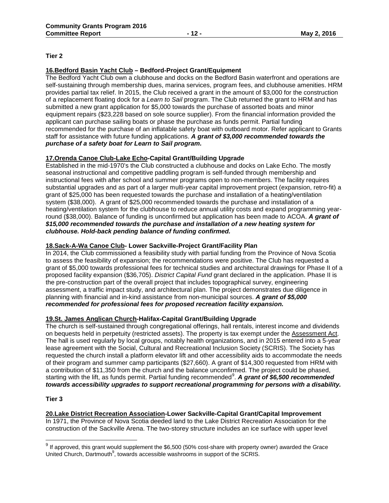#### **Tier 2**

### **16.Bedford Basin Yacht Club – Bedford-Project Grant/Equipment**

The Bedford Yacht Club own a clubhouse and docks on the Bedford Basin waterfront and operations are self-sustaining through membership dues, marina services, program fees, and clubhouse amenities. HRM provides partial tax relief. In 2015, the Club received a grant in the amount of \$3,000 for the construction of a replacement floating dock for a *Learn to Sail* program. The Club returned the grant to HRM and has submitted a new grant application for \$5,000 towards the purchase of assorted boats and minor equipment repairs (\$23,228 based on sole source supplier). From the financial information provided the applicant can purchase sailing boats or phase the purchase as funds permit. Partial funding recommended for the purchase of an inflatable safety boat with outboard motor. Refer applicant to Grants staff for assistance with future funding applications. *A grant of \$3,000 recommended towards the purchase of a safety boat for Learn to Sail program.*

#### **17.Orenda Canoe Club-Lake Echo-Capital Grant/Building Upgrade**

Established in the mid-1970's the Club constructed a clubhouse and docks on Lake Echo. The mostly seasonal instructional and competitive paddling program is self-funded through membership and instructional fees with after school and summer programs open to non-members. The facility requires substantial upgrades and as part of a larger multi-year capital improvement project (expansion, retro-fit) a grant of \$25,000 has been requested towards the purchase and installation of a heating/ventilation system (\$38,000). A grant of \$25,000 recommended towards the purchase and installation of a heating/ventilation system for the clubhouse to reduce annual utility costs and expand programming yearround (\$38,000). Balance of funding is unconfirmed but application has been made to ACOA. *A grant of \$15,000 recommended towards the purchase and installation of a new heating system for clubhouse. Hold-back pending balance of funding confirmed.*

#### **18.Sack-A-Wa Canoe Club- Lower Sackville-Project Grant/Facility Plan**

In 2014, the Club commissioned a feasibility study with partial funding from the Province of Nova Scotia to assess the feasibility of expansion; the recommendations were positive. The Club has requested a grant of \$5,000 towards professional fees for technical studies and architectural drawings for Phase II of a proposed facility expansion (\$36,705). *District Capital Fund* grant declared in the application. Phase II is the pre-construction part of the overall project that includes topographical survey, engineering assessment, a traffic impact study, and architectural plan. The project demonstrates due diligence in planning with financial and in-kind assistance from non-municipal sources. *A grant of \$5,000 recommended for professional fees for proposed recreation facility expansion.*

#### **19.St. James Anglican Church-Halifax-Capital Grant/Building Upgrade**

The church is self-sustained through congregational offerings, hall rentals, interest income and dividends on bequests held in perpetuity (restricted assets). The property is tax exempt under the Assessment Act. The hall is used regularly by local groups, notably health organizations, and in 2015 entered into a 5-year lease agreement with the Social, Cultural and Recreational Inclusion Society (SCRIS). The Society has requested the church install a platform elevator lift and other accessibility aids to accommodate the needs of their program and summer camp participants (\$27,660). A grant of \$14,300 requested from HRM with a contribution of \$11,350 from the church and the balance unconfirmed. The project could be phased, starting with the lift, as funds permit. Partial funding recommended<sup>9</sup>. A grant of \$6,500 recommended *towards accessibility upgrades to support recreational programming for persons with a disability.*

#### **Tier 3**

 $\overline{a}$ 

# **20.Lake District Recreation Association-Lower Sackville-Capital Grant/Capital Improvement**

In 1971, the Province of Nova Scotia deeded land to the Lake District Recreation Association for the construction of the Sackville Arena. The two-storey structure includes an ice surface with upper level

 $^9$  If approved, this grant would supplement the \$6,500 (50% cost-share with property owner) awarded the Grace United Church, Dartmouth<sup>9</sup>, towards accessible washrooms in support of the SCRIS.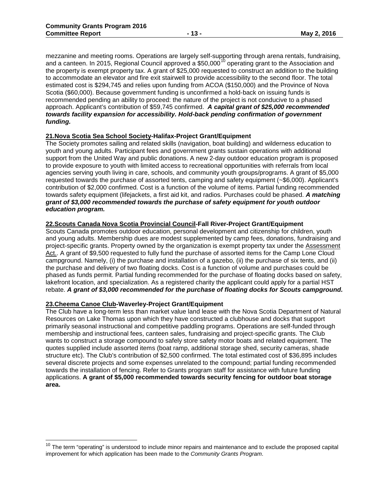mezzanine and meeting rooms. Operations are largely self-supporting through arena rentals, fundraising, and a canteen. In 2015, Regional Council approved a \$50,000<sup>10</sup> operating grant to the Association and the property is exempt property tax. A grant of \$25,000 requested to construct an addition to the building to accommodate an elevator and fire exit stairwell to provide accessibility to the second floor. The total estimated cost is \$294,745 and relies upon funding from ACOA (\$150,000) and the Province of Nova Scotia (\$60,000). Because government funding is unconfirmed a hold-back on issuing funds is recommended pending an ability to proceed: the nature of the project is not conducive to a phased approach. Applicant's contribution of \$59,745 confirmed. *A capital grant of \$25,000 recommended towards facility expansion for accessibility. Hold-back pending confirmation of government funding.*

#### **21.Nova Scotia Sea School Society-Halifax-Project Grant/Equipment**

The Society promotes sailing and related skills (navigation, boat building) and wilderness education to youth and young adults. Participant fees and government grants sustain operations with additional support from the United Way and public donations. A new 2-day outdoor education program is proposed to provide exposure to youth with limited access to recreational opportunities with referrals from local agencies serving youth living in care, schools, and community youth groups/programs. A grant of \$5,000 requested towards the purchase of assorted tents, camping and safety equipment (~\$6,000). Applicant's contribution of \$2,000 confirmed. Cost is a function of the volume of items. Partial funding recommended towards safety equipment (lifejackets, a first aid kit, and radios. Purchases could be phased. *A matching grant of \$3,000 recommended towards the purchase of safety equipment for youth outdoor education program.*

#### **22.Scouts Canada Nova Scotia Provincial Council-Fall River-Project Grant/Equipment**

Scouts Canada promotes outdoor education, personal development and citizenship for children, youth and young adults. Membership dues are modest supplemented by camp fees, donations, fundraising and project-specific grants. Property owned by the organization is exempt property tax under the Assessment Act.. A grant of \$9,500 requested to fully fund the purchase of assorted items for the Camp Lone Cloud campground. Namely, (i) the purchase and installation of a gazebo, (ii) the purchase of six tents, and (ii) the purchase and delivery of two floating docks. Cost is a function of volume and purchases could be phased as funds permit. Partial funding recommended for the purchase of floating docks based on safety, lakefront location, and specialization. As a registered charity the applicant could apply for a partial HST rebate. *A grant of \$3,000 recommended for the purchase of floating docks for Scouts campground.*

#### **23.Cheema Canoe Club-Waverley-Project Grant/Equipment**

 $\overline{\phantom{a}}$ 

The Club have a long-term less than market value land lease with the Nova Scotia Department of Natural Resources on Lake Thomas upon which they have constructed a clubhouse and docks that support primarily seasonal instructional and competitive paddling programs. Operations are self-funded through membership and instructional fees, canteen sales, fundraising and project-specific grants. The Club wants to construct a storage compound to safely store safety motor boats and related equipment. The quotes supplied include assorted items (boat ramp, additional storage shed, security cameras, shade structure etc). The Club's contribution of \$2,500 confirmed. The total estimated cost of \$36,895 includes several discrete projects and some expenses unrelated to the compound; partial funding recommended towards the installation of fencing. Refer to Grants program staff for assistance with future funding applications. **A grant of \$5,000 recommended towards security fencing for outdoor boat storage area.**

 $10$  The term "operating" is understood to include minor repairs and maintenance and to exclude the proposed capital improvement for which application has been made to the *Community Grants Program*.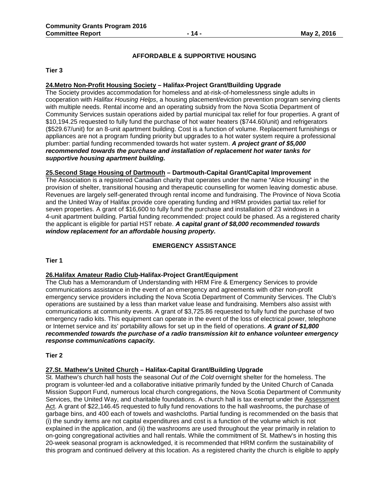### **AFFORDABLE & SUPPORTIVE HOUSING**

#### **Tier 3**

#### **24.Metro Non-Profit Housing Society – Halifax-Project Grant/Building Upgrade**

The Society provides accommodation for homeless and at-risk-of-homelessness single adults in cooperation with *Halifax Housing Helps*, a housing placement/eviction prevention program serving clients with multiple needs. Rental income and an operating subsidy from the Nova Scotia Department of Community Services sustain operations aided by partial municipal tax relief for four properties. A grant of \$10,194.25 requested to fully fund the purchase of hot water heaters (\$744.60/unit) and refrigerators (\$529.67/unit) for an 8-unit apartment building. Cost is a function of volume. Replacement furnishings or appliances are not a program funding priority but upgrades to a hot water system require a professional plumber: partial funding recommended towards hot water system. *A project grant of \$5,000 recommended towards the purchase and installation of replacement hot water tanks for supportive housing apartment building.*

#### **25.Second Stage Housing of Dartmouth – Dartmouth-Capital Grant/Capital Improvement**

The Association is a registered Canadian charity that operates under the name "Alice Housing" in the provision of shelter, transitional housing and therapeutic counselling for women leaving domestic abuse. Revenues are largely self-generated through rental income and fundraising. The Province of Nova Scotia and the United Way of Halifax provide core operating funding and HRM provides partial tax relief for seven properties. A grant of \$16,600 to fully fund the purchase and installation of 23 windows in a 4-unit apartment building. Partial funding recommended: project could be phased. As a registered charity the applicant is eligible for partial HST rebate. *A capital grant of \$8,000 recommended towards window replacement for an affordable housing property.* 

#### **EMERGENCY ASSISTANCE**

**Tier 1**

### **26.Halifax Amateur Radio Club-Halifax-Project Grant/Equipment**

The Club has a Memorandum of Understanding with HRM Fire & Emergency Services to provide communications assistance in the event of an emergency and agreements with other non-profit emergency service providers including the Nova Scotia Department of Community Services. The Club's operations are sustained by a less than market value lease and fundraising. Members also assist with communications at community events. A grant of \$3,725.86 requested to fully fund the purchase of two emergency radio kits. This equipment can operate in the event of the loss of electrical power, telephone or Internet service and its' portability allows for set up in the field of operations. *A grant of \$1,800 recommended towards the purchase of a radio transmission kit to enhance volunteer emergency response communications capacity.*

#### **Tier 2**

#### **27.St. Mathew's United Church – Halifax-Capital Grant/Building Upgrade**

St. Mathew's church hall hosts the seasonal *Out of the Cold* overnight shelter for the homeless. The program is volunteer-led and a collaborative initiative primarily funded by the United Church of Canada Mission Support Fund, numerous local church congregations, the Nova Scotia Department of Community Services, the United Way, and charitable foundations. A church hall is tax exempt under the Assessment Act. A grant of \$22,146.45 requested to fully fund renovations to the hall washrooms, the purchase of garbage bins, and 400 each of towels and washcloths. Partial funding is recommended on the basis that (i) the sundry items are not capital expenditures and cost is a function of the volume which is not explained in the application, and (ii) the washrooms are used throughout the year primarily in relation to on-going congregational activities and hall rentals. While the commitment of St. Mathew's in hosting this 20-week seasonal program is acknowledged, it is recommended that HRM confirm the sustainability of this program and continued delivery at this location. As a registered charity the church is eligible to apply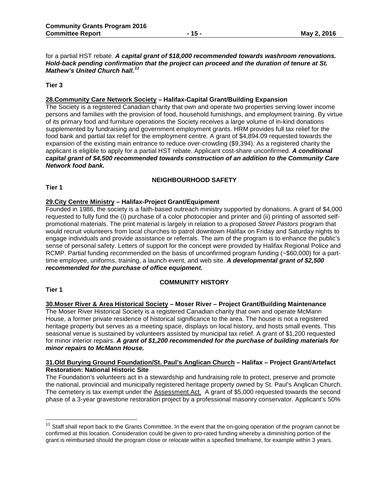for a partial HST rebate. *A capital grant of \$18,000 recommended towards washroom renovations. Hold-back pending confirmation that the project can proceed and the duration of tenure at St. Mathew's United Church hall.<sup>11</sup>*

#### **Tier 3**

### **28.Community Care Network Society – Halifax-Capital Grant/Building Expansion**

The Society is a registered Canadian charity that own and operate two properties serving lower income persons and families with the provision of food, household furnishings, and employment training. By virtue of its primary food and furniture operations the Society receives a large volume of in-kind donations supplemented by fundraising and government employment grants. HRM provides full tax relief for the food bank and partial tax relief for the employment centre. A grant of \$4,894.09 requested towards the expansion of the existing main entrance to reduce over-crowding (\$9,394). As a registered charity the applicant is eligible to apply for a partial HST rebate. Applicant cost-share unconfirmed. *A conditional capital grant of \$4,500 recommended towards construction of an addition to the Community Care Network food bank.* 

#### **NEIGHBOURHOOD SAFETY**

**Tier 1**

#### **29.City Centre Ministry – Halifax-Project Grant/Equipment**

Founded in 1986, the society is a faith-based outreach ministry supported by donations. A grant of \$4,000 requested to fully fund the (i) purchase of a color photocopier and printer and (ii) printing of assorted selfpromotional materials. The print material is largely in relation to a proposed *Street Pastors* program that would recruit volunteers from local churches to patrol downtown Halifax on Friday and Saturday nights to engage individuals and provide assistance or referrals. The aim of the program is to enhance the public's sense of personal safety. Letters of support for the concept were provided by Halifax Regional Police and RCMP. Partial funding recommended on the basis of unconfirmed program funding (~\$60,000) for a parttime employee, uniforms, training, a launch event, and web site. *A developmental grant of \$2,500 recommended for the purchase of office equipment.*

### **COMMUNITY HISTORY**

**Tier 1**

 $\overline{\phantom{a}}$ 

#### **30.Moser River & Area Historical Society – Moser River – Project Grant/Building Maintenance**

The Moser River Historical Society is a registered Canadian charity that own and operate McMann House, a former private residence of historical significance to the area. The house is not a registered heritage property but serves as a meeting space, displays on local history, and hosts small events. This seasonal venue is sustained by volunteers assisted by municipal tax relief. A grant of \$1,200 requested for minor interior repairs. *A grant of \$1,200 recommended for the purchase of building materials for minor repairs to McMann House.*

#### **31.Old Burying Ground Foundation/St. Paul's Anglican Church – Halifax – Project Grant/Artefact Restoration: National Historic Site**

The Foundation's volunteers act in a stewardship and fundraising role to protect, preserve and promote the national, provincial and municipally registered heritage property owned by St. Paul's Anglican Church. The cemetery is tax exempt under the Assessment Act. A grant of \$5,000 requested towards the second phase of a 3-year gravestone restoration project by a professional masonry conservator. Applicant's 50%

<sup>&</sup>lt;sup>11</sup> Staff shall report back to the Grants Committee. In the event that the on-going operation of the program cannot be confirmed at this location. Consideration could be given to pro-rated funding whereby a diminishing portion of the grant is reimbursed should the program close or relocate within a specified timeframe, for example within 3 years.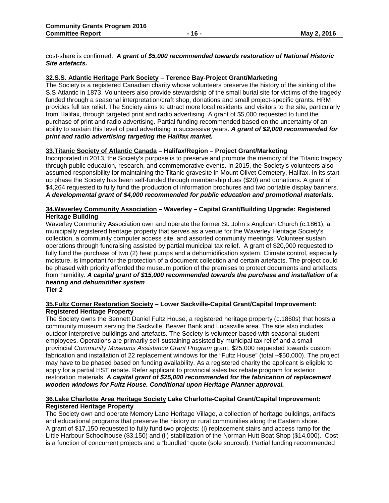cost-share is confirmed. *A grant of \$5,000 recommended towards restoration of National Historic Site artefacts.*

#### **32.S.S. Atlantic Heritage Park Society – Terence Bay-Project Grant/Marketing**

The Society is a registered Canadian charity whose volunteers preserve the history of the sinking of the S.S Atlantic in 1873. Volunteers also provide stewardship of the small burial site for victims of the tragedy funded through a seasonal interpretation/craft shop, donations and small project-specific grants. HRM provides full tax relief. The Society aims to attract more local residents and visitors to the site, particularly from Halifax, through targeted print and radio advertising. A grant of \$5,000 requested to fund the purchase of print and radio advertising. Partial funding recommended based on the uncertainty of an ability to sustain this level of paid advertising in successive years. *A grant of \$2,000 recommended for print and radio advertising targeting the Halifax market.*

#### **33.Titanic Society of Atlantic Canada – Halifax/Region – Project Grant/Marketing**

Incorporated in 2013, the Society's purpose is to preserve and promote the memory of the Titanic tragedy through public education, research, and commemorative events. In 2015, the Society's volunteers also assumed responsibility for maintaining the Titanic gravesite in Mount Olivet Cemetery, Halifax. In its startup phase the Society has been self-funded through membership dues (\$20) and donations. A grant of \$4,264 requested to fully fund the production of information brochures and two portable display banners. *A developmental grant of \$4,000 recommended for public education and promotional materials.*

#### **34.Waverley Community Association – Waverley – Capital Grant/Building Upgrade: Registered Heritage Building**

Waverley Community Association own and operate the former St. John's Anglican Church (c.1861), a municipally registered heritage property that serves as a venue for the Waverley Heritage Society's collection, a community computer access site, and assorted community meetings. Volunteer sustain operations through fundraising assisted by partial municipal tax relief. A grant of \$20,000 requested to fully fund the purchase of two (2) heat pumps and a dehumidification system. Climate control, especially moisture, is important for the protection of a document collection and certain artefacts. The project could be phased with priority afforded the museum portion of the premises to protect documents and artefacts from humidity. *A capital grant of \$15,000 recommended towards the purchase and installation of a heating and dehumidifier system*

**Tier 2**

#### **35.Fultz Corner Restoration Society – Lower Sackville-Capital Grant/Capital Improvement: Registered Heritage Property**

The Society owns the Bennett Daniel Fultz House, a registered heritage property (c.1860s) that hosts a community museum serving the Sackville, Beaver Bank and Lucasville area. The site also includes outdoor interpretive buildings and artefacts. The Society is volunteer-based with seasonal student employees. Operations are primarily self-sustaining assisted by municipal tax relief and a small provincial *Community Museums Assistance Grant Program* grant. \$25,000 requested towards custom fabrication and installation of 22 replacement windows for the "Fultz House" (total ~\$50,000). The project may have to be phased based on funding availability. As a registered charity the applicant is eligible to apply for a partial HST rebate. Refer applicant to provincial sales tax rebate program for exterior restoration materials. *A capital grant of \$25,000 recommended for the fabrication of replacement wooden windows for Fultz House. Conditional upon Heritage Planner approval.*

#### **36.Lake Charlotte Area Heritage Society Lake Charlotte-Capital Grant/Capital Improvement: Registered Heritage Property**

The Society own and operate Memory Lane Heritage Village, a collection of heritage buildings, artifacts and educational programs that preserve the history or rural communities along the Eastern shore. A grant of \$17,150 requested to fully fund two projects: (i) replacement stairs and access ramp for the Little Harbour Schoolhouse (\$3,150) and (ii) stabilization of the Norman Hutt Boat Shop (\$14,000). Cost is a function of concurrent projects and a "bundled" quote (sole sourced). Partial funding recommended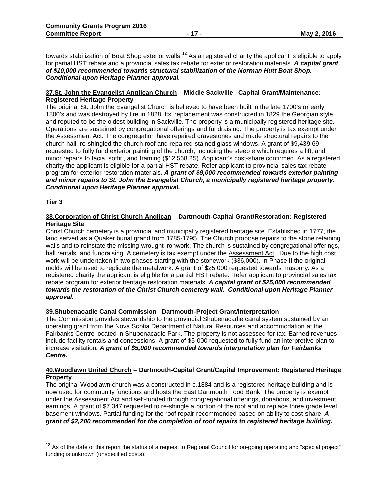towards stabilization of Boat Shop exterior walls.<sup>12</sup> As a registered charity the applicant is eligible to apply for partial HST rebate and a provincial sales tax rebate for exterior restoration materials. *A capital grant of \$10,000 recommended towards structural stabilization of the Norman Hutt Boat Shop. Conditional upon Heritage Planner approval.*

#### **37.St. John the Evangelist Anglican Church – Middle Sackville –Capital Grant/Maintenance: Registered Heritage Property**

The original St. John the Evangelist Church is believed to have been built in the late 1700's or early 1800's and was destroyed by fire in 1828. Its' replacement was constructed in 1829 the Georgian style and reputed to be the oldest building in Sackville. The property is a municipally registered heritage site. Operations are sustained by congregational offerings and fundraising. The property is tax exempt under the Assessment Act. The congregation have repaired gravestones and made structural repairs to the church hall, re-shingled the church roof and repaired stained glass windows. A grant of \$9,439.69 requested to fully fund exterior painting of the church, including the steeple which requires a lift, and minor repairs to facia, soffit , and framing (\$12,568.25). Applicant's cost-share confirmed. As a registered charity the applicant is eligible for a partial HST rebate. Refer applicant to provincial sales tax rebate program for exterior restoration materials. *A grant of \$9,000 recommended towards exterior painting and minor repairs to St. John the Evangelist Church, a municipally registered heritage property. Conditional upon Heritage Planner approval.*

**Tier 3**

 $\overline{\phantom{a}}$ 

#### **38.Corporation of Christ Church Anglican – Dartmouth-Capital Grant/Restoration: Registered Heritage Site**

Christ Church cemetery is a provincial and municipally registered heritage site. Established in 1777, the land served as a Quaker burial grand from 1785-1795. The Church propose repairs to the stone retaining walls and to reinstate the missing wrought ironwork. The church is sustained by congregational offerings, hall rentals, and fundraising. A cemetery is tax exempt under the Assessment Act. Due to the high cost, work will be undertaken in two phases starting with the stonework (\$36,000). In Phase II the original molds will be used to replicate the metalwork. A grant of \$25,000 requested towards masonry. As a registered charity the applicant is eligible for a partial HST rebate. Refer applicant to provincial sales tax rebate program for exterior heritage restoration materials. *A capital grant of \$25,000 recommended towards the restoration of the Christ Church cemetery wall. Conditional upon Heritage Planner approval.*

#### **39.Shubenacadie Canal Commission –Dartmouth-Project Grant/Interpretation**

The Commission provides stewardship to the provincial Shubenacadie canal system sustained by an operating grant from the Nova Scotia Department of Natural Resources and accommodation at the Fairbanks Centre located in Shubenacadie Park. The property is not assessed for tax. Earned revenues include facility rentals and concessions. A grant of \$5,000 requested to fully fund an interpretive plan to increase visitation*. A grant of \$5,000 recommended towards interpretation plan for Fairbanks Centre.*

#### **40.Woodlawn United Church – Dartmouth-Capital Grant/Capital Improvement: Registered Heritage Property**

The original Woodlawn church was a constructed in c.1884 and is a registered heritage building and is now used for community functions and hosts the East Dartmouth Food Bank. The property is exempt under the Assessment Act and self-funded through congregational offerings, donations, and investment earnings. A grant of \$7,347 requested to re-shingle a portion of the roof and to replace three grade level basement windows. Partial funding for the roof repair recommended based on ability to cost-share. *A grant of \$2,200 recommended for the completion of roof repairs to registered heritage building.*

 $12$  As of the date of this report the status of a request to Regional Council for on-going operating and "special project" funding is unknown (unspecified costs).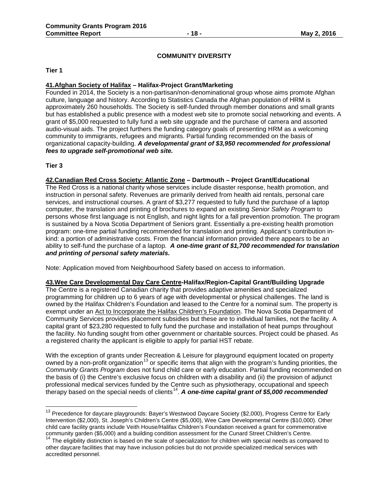#### **COMMUNITY DIVERSITY**

**Tier 1**

#### **41.Afghan Society of Halifax – Halifax-Project Grant/Marketing**

Founded in 2014, the Society is a non-partisan/non-denominational group whose aims promote Afghan culture, language and history. According to Statistics Canada the Afghan population of HRM is approximately 260 households. The Society is self-funded through member donations and small grants but has established a public presence with a modest web site to promote social networking and events. A grant of \$5,000 requested to fully fund a web site upgrade and the purchase of camera and assorted audio-visual aids. The project furthers the funding category goals of presenting HRM as a welcoming community to immigrants, refugees and migrants. Partial funding recommended on the basis of organizational capacity-building. *A developmental grant of \$3,950 recommended for professional fees to upgrade self-promotional web site.*

**Tier 3**

 $\overline{\phantom{a}}$ 

**42.Canadian Red Cross Society: Atlantic Zone – Dartmouth – Project Grant/Educational**

The Red Cross is a national charity whose services include disaster response, health promotion, and instruction in personal safety. Revenues are primarily derived from health aid rentals, personal care services, and instructional courses. A grant of \$3,277 requested to fully fund the purchase of a laptop computer, the translation and printing of brochures to expand an existing *Senior Safety Program* to persons whose first language is not English, and night lights for a fall prevention promotion. The program is sustained by a Nova Scotia Department of Seniors grant. Essentially a pre-existing health promotion program: one-time partial funding recommended for translation and printing. Applicant's contribution inkind: a portion of administrative costs. From the financial information provided there appears to be an ability to self-fund the purchase of a laptop. *A one-time grant of \$1,700 recommended for translation and printing of personal safety materials.*

Note: Application moved from Neighbourhood Safety based on access to information.

**43.Wee Care Developmental Day Care Centre-Halifax/Region-Capital Grant/Building Upgrade** The Centre is a registered Canadian charity that provides adaptive amenities and specialized programming for children up to 6 years of age with developmental or physical challenges. The land is owned by the Halifax Children's Foundation and leased to the Centre for a nominal sum. The property is exempt under an Act to Incorporate the Halifax Children's Foundation. The Nova Scotia Department of Community Services provides placement subsidies but these are to individual families, not the facility. A capital grant of \$23,280 requested to fully fund the purchase and installation of heat pumps throughout the facility. No funding sought from other government or charitable sources. Project could be phased. As a registered charity the applicant is eligible to apply for partial HST rebate.

With the exception of grants under Recreation & Leisure for playground equipment located on property owned by a non-profit organization<sup>13</sup> or specific items that align with the program's funding priorities, the *Community Grants Program* does not fund child care or early education. Partial funding recommended on the basis of (i) the Centre's exclusive focus on children with a disability and (ii) the provision of adjunct professional medical services funded by the Centre such as physiotherapy, occupational and speech therapy based on the special needs of clients<sup>14</sup>. A one-time capital grant of \$5,000 recommended

<sup>&</sup>lt;sup>13</sup> Precedence for daycare playgrounds: Bayer's Westwood Daycare Society (\$2,000), Progress Centre for Early Intervention (\$2,000), St. Joseph's Children's Centre (\$5,000), Wee Care Developmental Centre (\$10,000). Other child care facility grants include Veith House/Halifax Children's Foundation received a grant for commemorative community garden (\$5,000) and a building condition assessment for the Cunard Street Children's Centre.

<sup>&</sup>lt;sup>14</sup> The eligibility distinction is based on the scale of specialization for children with special needs as compared to other daycare facilities that may have inclusion policies but do not provide specialized medical services with accredited personnel.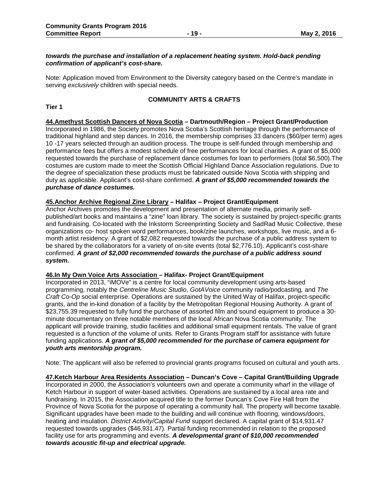#### *towards the purchase and installation of a replacement heating system. Hold-back pending confirmation of applicant's cost-share.*

Note: Application moved from Environment to the Diversity category based on the Centre's mandate in serving *exclusively* children with special needs.

#### **COMMUNITY ARTS & CRAFTS**

#### **Tier 1**

#### **44.Amethyst Scottish Dancers of Nova Scotia – Dartmouth/Region – Project Grant/Production**

Incorporated in 1986, the Society promotes Nova Scotia's Scottish heritage through the performance of traditional highland and step dances. In 2016, the membership comprises 33 dancers (\$60/per term) ages 10 -17 years selected through an audition process. The troupe is self-funded through membership and performance fees but offers a modest schedule of free performances for local charities. A grant of \$5,000 requested towards the purchase of replacement dance costumes for loan to performers (total \$6,500).The costumes are custom made to meet the Scottish Official Highland Dance Association regulations. Due to the degree of specialization these products must be fabricated outside Nova Scotia with shipping and duty as applicable. Applicant's cost-share confirmed. *A grant of \$5,000 recommended towards the purchase of dance costumes.*

#### **45.Anchor Archive Regional Zine Library – Halifax – Project Grant/Equipment**

Anchor Archives promotes the development and presentation of alternate media, primarily selfpublished/art books and maintains a "zine" loan library. The society is sustained by project-specific grants and fundraising. Co-located with the Inkstorm Screenprinting Society and SadRad Music Collective, these organizations co- host spoken word performances, book/zine launches, workshops, live music, and a 6 month artist residency*.* A grant of \$2,082 requested towards the purchase of a public address system to be shared by the collaborators for a variety of on-site events (total \$2,776.10). Applicant's cost-share confirmed. *A grant of \$2,000 recommended towards the purchase of a public address sound system.*

#### **46.In My Own Voice Arts Association – Halifax- Project Grant/Equipment**

Incorporated in 2013, "iMOVe" is a centre for local community development using arts-based programming, notably the *Centreline Music Studio*, *GotAVoice* community radio*/*podcasting*,* and *The Craft Co-Op* social enterprise. Operations are sustained by the United Way of Halifax, project-specific grants, and the in-kind donation of a facility by the Metropolitan Regional Housing Authority. A grant of \$23,755.39 requested to fully fund the purchase of assorted film and sound equipment to produce a 30 minute documentary on three notable members of the local African Nova Scotia community. The applicant will provide training, studio facilities and additional small equipment rentals. The value of grant requested is a function of the volume of units. Refer to Grants Program staff for assistance with future funding applications. *A grant of \$5,000 recommended for the purchase of camera equipment for youth arts mentorship program.*

Note: The applicant will also be referred to provincial grants programs focused on cultural and youth arts.

**47.Ketch Harbour Area Residents Association – Duncan's Cove – Capital Grant/Building Upgrade** Incorporated in 2000, the Association's volunteers own and operate a community wharf in the village of Ketch Harbour in support of water-based activities. Operations are sustained by a local area rate and fundraising. In 2015, the Association acquired title to the former Duncan's Cove Fire Hall from the Province of Nova Scotia for the purpose of operating a community hall. The property will become taxable. Significant upgrades have been made to the building and will continue with flooring, windows/doors, heating and insulation. *District Activity/Capital Fund* support declared. A capital grant of \$14,931.47 requested towards upgrades (\$46,931.47). Partial funding recommended in relation to the proposed facility use for arts programming and events. *A developmental grant of \$10,000 recommended towards acoustic fit-up and electrical upgrade.*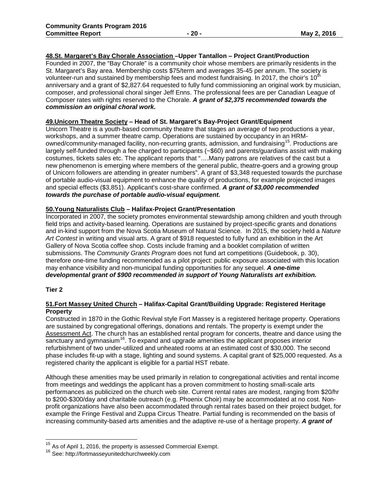#### **48.St. Margaret's Bay Chorale Association –Upper Tantallon – Project Grant/Production**

Founded in 2007, the "Bay Chorale" is a community choir whose members are primarily residents in the St. Margaret's Bay area. Membership costs \$75/term and averages 35-45 per annum. The society is volunteer-run and sustained by membership fees and modest fundraising. In 2017, the choir's  $10<sup>th</sup>$ anniversary and a grant of \$2,827.64 requested to fully fund commissioning an original work by musician, composer, and professional choral singer Jeff Enns. The professional fees are per Canadian League of Composer rates with rights reserved to the Chorale. *A grant of \$2,375 recommended towards the commission an original choral work.* 

#### **49.Unicorn Theatre Society – Head of St. Margaret's Bay-Project Grant/Equipment**

Unicorn Theatre is a youth-based community theatre that stages an average of two productions a year, workshops, and a summer theatre camp. Operations are sustained by occupancy in an HRMowned/community-managed facility, non-recurring grants, admission, and fundraising<sup>15</sup>. Productions are largely self-funded through a fee charged to participants (~\$60) and parents/guardians assist with making costumes, tickets sales etc. The applicant reports that "….Many patrons are relatives of the cast but a new phenomenon is emerging where members of the general public, theatre-goers and a growing group of Unicorn followers are attending in greater numbers". A grant of \$3,348 requested towards the purchase of portable audio-visual equipment to enhance the quality of productions, for example projected images and special effects (\$3,851). Applicant's cost-share confirmed. *A grant of \$3,000 recommended towards the purchase of portable audio-visual equipment.*

#### **50.Young Naturalists Club – Halifax-Project Grant/Presentation**

Incorporated in 2007, the society promotes environmental stewardship among children and youth through field trips and activity-based learning. Operations are sustained by project-specific grants and donations and in-kind support from the Nova Scotia Museum of Natural Science. In 2015, the society held a *Nature Art Contest* in writing and visual arts. A grant of \$918 requested to fully fund an exhibition in the Art Gallery of Nova Scotia coffee shop. Costs include framing and a booklet compilation of written submissions. The *Community Grants Program* does not fund art competitions (Guidebook, p. 30), therefore one-time funding recommended as a pilot project: public exposure associated with this location may enhance visibility and non-municipal funding opportunities for any sequel. *A one-time developmental grant of \$900 recommended in support of Young Naturalists art exhibition.*

#### **Tier 2**

 $\overline{\phantom{a}}$ 

#### **51.Fort Massey United Church – Halifax-Capital Grant/Building Upgrade: Registered Heritage Property**

Constructed in 1870 in the Gothic Revival style Fort Massey is a registered heritage property. Operations are sustained by congregational offerings, donations and rentals. The property is exempt under the Assessment Act. The church has an established rental program for concerts, theatre and dance using the  $\overline{s}$ anctuary and gymnasium<sup>16</sup>. To expand and upgrade amenities the applicant proposes interior refurbishment of two under-utilized and unheated rooms at an estimated cost of \$30,000. The second phase includes fit-up with a stage, lighting and sound systems. A capital grant of \$25,000 requested. As a registered charity the applicant is eligible for a partial HST rebate.

Although these amenities may be used primarily in relation to congregational activities and rental income from meetings and weddings the applicant has a proven commitment to hosting small-scale arts performances as publicized on the church web site. Current rental rates are modest, ranging from \$20/hr to \$200-\$300/day and charitable outreach (e.g. Phoenix Choir) may be accommodated at no cost. Nonprofit organizations have also been accommodated through rental rates based on their project budget, for example the Fringe Festival and Zuppa Circus Theatre. Partial funding is recommended on the basis of increasing community-based arts amenities and the adaptive re-use of a heritage property. *A grant of* 

 $^{15}_{12}$  As of April 1, 2016, the property is assessed Commercial Exempt.

<sup>16</sup> See: http://fortmasseyunitedchurchweekly.com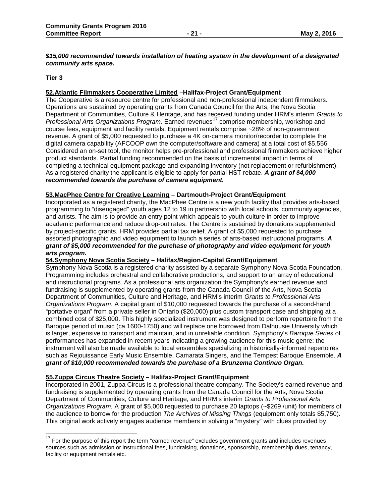#### *\$15,000 recommended towards installation of heating system in the development of a designated community arts space.*

#### **Tier 3**

 $\overline{a}$ 

#### **52.Atlantic Filmmakers Cooperative Limited –Halifax-Project Grant/Equipment**

The Cooperative is a resource centre for professional and non-professional independent filmmakers. Operations are sustained by operating grants from Canada Council for the Arts, the Nova Scotia Department of Communities, Culture & Heritage, and has received funding under HRM's interim *Grants to Professional Arts Organizations Program.* Earned revenues<sup>17</sup> comprise membership, workshop and course fees, equipment and facility rentals. Equipment rentals comprise ~28% of non-government revenue. A grant of \$5,000 requested to purchase a 4K on-camera monitor/recorder to complete the digital camera capability (AFCOOP own the computer/software and camera) at a total cost of \$5,556 Considered an on-set tool, the monitor helps pre-professional and professional filmmakers achieve higher product standards. Partial funding recommended on the basis of incremental impact in terms of completing a technical equipment package and expanding inventory (not replacement or refurbishment). As a registered charity the applicant is eligible to apply for partial HST rebate. *A grant of \$4,000 recommended towards the purchase of camera equipment.*

#### **53.MacPhee Centre for Creative Learning – Dartmouth-Project Grant/Equipment**

Incorporated as a registered charity, the MacPhee Centre is a new youth facility that provides arts-based programming to "disengaged" youth ages 12 to 19 in partnership with local schools, community agencies, and artists. The aim is to provide an entry point which appeals to youth culture in order to improve academic performance and reduce drop-out rates. The Centre is sustained by donations supplemented by project-specific grants. HRM provides partial tax relief. A grant of \$5,000 requested to purchase assorted photographic and video equipment to launch a series of arts-based instructional programs. *A grant of \$5,000 recommended for the purchase of photography and video equipment for youth arts program.*

#### **54.Symphony Nova Scotia Society – Halifax/Region-Capital Grant/Equipment**

Symphony Nova Scotia is a registered charity assisted by a separate Symphony Nova Scotia Foundation. Programming includes orchestral and collaborative productions, and support to an array of educational and instructional programs. As a professional arts organization the Symphony's earned revenue and fundraising is supplemented by operating grants from the Canada Council of the Arts, Nova Scotia Department of Communities, Culture and Heritage, and HRM's interim *Grants to Professional Arts Organizations Program*. A capital grant of \$10,000 requested towards the purchase of a second-hand "portative organ" from a private seller in Ontario (\$20,000) plus custom transport case and shipping at a combined cost of \$25,000. This highly specialized instrument was designed to perform repertoire from the Baroque period of music (ca.1600-1750) and will replace one borrowed from Dalhousie University which is larger, expensive to transport and maintain, and in unreliable condition. Symphony's *Baroque Series* of performances has expanded in recent years indicating a growing audience for this music genre: the instrument will also be made available to local ensembles specializing in historically-informed repertoires such as Rejouissance Early Music Ensemble, Camarata Singers, and the Tempest Baroque Ensemble. *A grant of \$10,000 recommended towards the purchase of a Brunzema Continuo Organ.*

#### **55.Zuppa Circus Theatre Society – Halifax-Project Grant/Equipment**

Incorporated in 2001, Zuppa Circus is a professional theatre company. The Society's earned revenue and fundraising is supplemented by operating grants from the Canada Council for the Arts, Nova Scotia Department of Communities, Culture and Heritage, and HRM's interim *Grants to Professional Arts Organizations Program.* A grant of \$5,000 requested to purchase 20 laptops (~\$269 /unit) for members of the audience to borrow for the production *The Archives of Missing Things* (equipment only totals \$5,750). This original work actively engages audience members in solving a "mystery" with clues provided by

 $17$  For the purpose of this report the term "earned revenue" excludes government grants and includes revenues sources such as admission or instructional fees, fundraising, donations, sponsorship, membership dues, tenancy, facility or equipment rentals etc.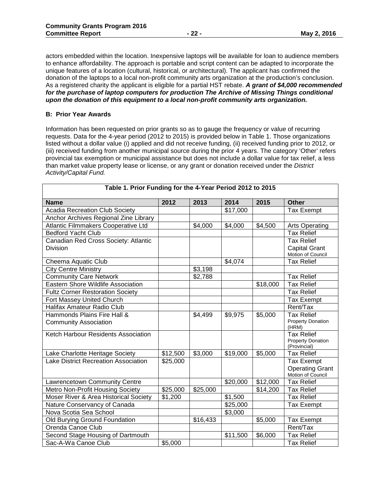actors embedded within the location. Inexpensive laptops will be available for loan to audience members to enhance affordability. The approach is portable and script content can be adapted to incorporate the unique features of a location (cultural, historical, or architectural). The applicant has confirmed the donation of the laptops to a local non-profit community arts organization at the production's conclusion. As a registered charity the applicant is eligible for a partial HST rebate. *A grant of \$4,000 recommended for the purchase of laptop computers for production The Archive of Missing Things conditional upon the donation of this equipment to a local non-profit community arts organization.*

#### **B: Prior Year Awards**

Information has been requested on prior grants so as to gauge the frequency or value of recurring requests. Data for the 4-year period (2012 to 2015) is provided below in Table 1. Those organizations listed without a dollar value (i) applied and did not receive funding, (ii) received funding prior to 2012, or (iii) received funding from another municipal source during the prior 4 years. The category 'Other' refers provincial tax exemption or municipal assistance but does not include a dollar value for tax relief, a less than market value property lease or license, or any grant or donation received under the *District Activity/Capital Fund.*

| Table 1. Prior Funding for the 4-Year Period 2012 to 2015 |          |          |          |          |                                                                  |
|-----------------------------------------------------------|----------|----------|----------|----------|------------------------------------------------------------------|
| <b>Name</b>                                               | 2012     | 2013     | 2014     | 2015     | <b>Other</b>                                                     |
| <b>Acadia Recreation Club Society</b>                     |          |          | \$17,000 |          | <b>Tax Exempt</b>                                                |
| Anchor Archives Regional Zine Library                     |          |          |          |          |                                                                  |
| Atlantic Filmmakers Cooperative Ltd                       |          | \$4,000  | \$4,000  | \$4,500  | <b>Arts Operating</b>                                            |
| <b>Bedford Yacht Club</b>                                 |          |          |          |          | <b>Tax Relief</b>                                                |
| Canadian Red Cross Society: Atlantic                      |          |          |          |          | <b>Tax Relief</b>                                                |
| Division                                                  |          |          |          |          | <b>Capital Grant</b><br>Motion of Council                        |
| Cheema Aquatic Club                                       |          |          | \$4,074  |          | <b>Tax Relief</b>                                                |
| <b>City Centre Ministry</b>                               |          | \$3,198  |          |          |                                                                  |
| <b>Community Care Network</b>                             |          | \$2,788  |          |          | <b>Tax Relief</b>                                                |
| <b>Eastern Shore Wildlife Association</b>                 |          |          |          | \$18,000 | <b>Tax Relief</b>                                                |
| <b>Fultz Corner Restoration Society</b>                   |          |          |          |          | <b>Tax Relief</b>                                                |
| Fort Massey United Church                                 |          |          |          |          | <b>Tax Exempt</b>                                                |
| Halifax Amateur Radio Club                                |          |          |          |          | Rent/Tax                                                         |
| Hammonds Plains Fire Hall &                               |          | \$4,499  | \$9,975  | \$5,000  | <b>Tax Relief</b>                                                |
| <b>Community Association</b>                              |          |          |          |          | <b>Property Donation</b><br>(HRM)                                |
| Ketch Harbour Residents Association                       |          |          |          |          | <b>Tax Relief</b><br><b>Property Donation</b><br>(Provincial)    |
| Lake Charlotte Heritage Society                           | \$12,500 | \$3,000  | \$19,000 | \$5,000  | <b>Tax Relief</b>                                                |
| Lake District Recreation Association                      | \$25,000 |          |          |          | <b>Tax Exempt</b><br><b>Operating Grant</b><br>Motion of Council |
| Lawrencetown Community Centre                             |          |          | \$20,000 | \$12,000 | <b>Tax Relief</b>                                                |
| Metro Non-Profit Housing Society                          | \$25,000 | \$25,000 |          | \$14,200 | <b>Tax Relief</b>                                                |
| Moser River & Area Historical Society                     | \$1,200  |          | \$1,500  |          | <b>Tax Relief</b>                                                |
| Nature Conservancy of Canada                              |          |          | \$25,000 |          | <b>Tax Exempt</b>                                                |
| Nova Scotia Sea School                                    |          |          | \$3,000  |          |                                                                  |
| Old Burying Ground Foundation                             |          | \$16,433 |          | \$5,000  | <b>Tax Exempt</b>                                                |
| Orenda Canoe Club                                         |          |          |          |          | Rent/Tax                                                         |
| Second Stage Housing of Dartmouth                         |          |          | \$11,500 | \$6,000  | <b>Tax Relief</b>                                                |
| Sac-A-Wa Canoe Club                                       | \$5,000  |          |          |          | <b>Tax Relief</b>                                                |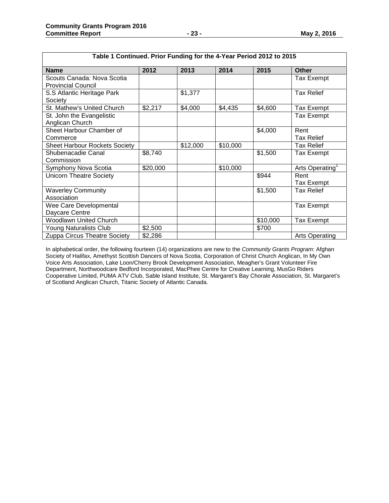Shubenacadie Canal

Waverley Community

Wee Care Developmental

Young Naturalists Club

Commission

Association

Daycare Centre

| Table 1 Continued. Prior Funding for the 4-Year Period 2012 to 2015 |         |          |          |         |                           |
|---------------------------------------------------------------------|---------|----------|----------|---------|---------------------------|
| <b>Name</b>                                                         | 2012    | 2013     | 2014     | 2015    | <b>Other</b>              |
| Scouts Canada: Nova Scotia<br><b>Provincial Council</b>             |         |          |          |         | Tax Exempt                |
| S.S Atlantic Heritage Park<br>Society                               |         | \$1,377  |          |         | <b>Tax Relief</b>         |
| St. Mathew's United Church                                          | \$2,217 | \$4,000  | \$4,435  | \$4,600 | Tax Exempt                |
| St. John the Evangelistic<br>Anglican Church                        |         |          |          |         | Tax Exempt                |
| Sheet Harbour Chamber of<br>Commerce                                |         |          |          | \$4,000 | Rent<br><b>Tax Relief</b> |
| <b>Sheet Harbour Rockets Society</b>                                |         | \$12,000 | \$10,000 |         | <b>Tax Relief</b>         |

Symphony Nova Scotia \$20,000 \$10,000 Arts Operating1

Unicorn Theatre Society **Figure 1.1 Contract 1.1 Contract 1.1 Contract 1.1 Contract 1.1 Contract 1.1 Contract 1.1 Contract 1.1 Contract 1.1 Contract 1.1 Contract 1.1 Contract 1.1 Contract 1.1 Contract 1.1 Contract 1.1 Cont** 

\$8,740 | | | | | \$1,500 | Tax Exempt

In alphabetical order, the following fourteen (14) organizations are new to the *Community Grants Program*: Afghan Society of Halifax, Amethyst Scottish Dancers of Nova Scotia, Corporation of Christ Church Anglican, In My Own Voice Arts Association, Lake Loon/Cherry Brook Development Association, Meagher's Grant Volunteer Fire Department, Northwoodcare Bedford Incorporated, MacPhee Centre for Creative Learning, MusGo Riders Cooperative Limited, PUMA ATV Club, Sable Island Institute, St. Margaret's Bay Chorale Association, St. Margaret's of Scotland Anglican Church, Titanic Society of Atlantic Canada.

Woodlawn United Church <br>
Young Naturalists Club \$2,500 \$200 \$700 \$700

Zuppa Circus Theatre Society | \$2,286 Arts Operating | Arts Operating

Tax Exempt

Tax Exempt

\$1,500 Tax Relief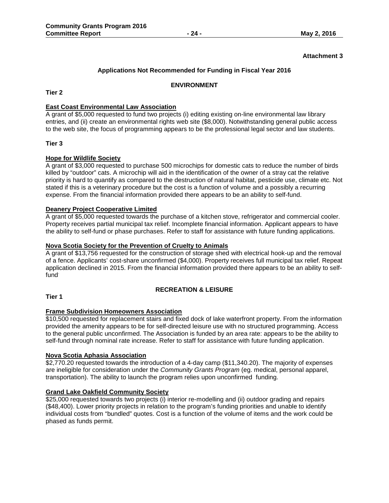#### **Attachment 3**

#### **Applications Not Recommended for Funding in Fiscal Year 2016**

#### **ENVIRONMENT**

#### **Tier 2**

#### **East Coast Environmental Law Association**

A grant of \$5,000 requested to fund two projects (i) editing existing on-line environmental law library entries, and (ii) create an environmental rights web site (\$8,000). Notwithstanding general public access to the web site, the focus of programming appears to be the professional legal sector and law students.

#### **Tier 3**

#### **Hope for Wildlife Society**

A grant of \$3,000 requested to purchase 500 microchips for domestic cats to reduce the number of birds killed by "outdoor" cats. A microchip will aid in the identification of the owner of a stray cat the relative priority is hard to quantify as compared to the destruction of natural habitat, pesticide use, climate etc. Not stated if this is a veterinary procedure but the cost is a function of volume and a possibly a recurring expense. From the financial information provided there appears to be an ability to self-fund.

#### **Deanery Project Cooperative Limited**

A grant of \$5,000 requested towards the purchase of a kitchen stove, refrigerator and commercial cooler. Property receives partial municipal tax relief. Incomplete financial information. Applicant appears to have the ability to self-fund or phase purchases. Refer to staff for assistance with future funding applications.

#### **Nova Scotia Society for the Prevention of Cruelty to Animals**

A grant of \$13,756 requested for the construction of storage shed with electrical hook-up and the removal of a fence. Applicants' cost-share unconfirmed (\$4,000). Property receives full municipal tax relief. Repeat application declined in 2015. From the financial information provided there appears to be an ability to selffund.

#### **RECREATION & LEISURE**

#### **Tier 1**

#### **Frame Subdivision Homeowners Association**

\$10,500 requested for replacement stairs and fixed dock of lake waterfront property. From the information provided the amenity appears to be for self-directed leisure use with no structured programming. Access to the general public unconfirmed. The Association is funded by an area rate: appears to be the ability to self-fund through nominal rate increase. Refer to staff for assistance with future funding application.

#### **Nova Scotia Aphasia Association**

\$2,770.20 requested towards the introduction of a 4-day camp (\$11,340.20). The majority of expenses are ineligible for consideration under the *Community Grants Program* (eg. medical, personal apparel, transportation). The ability to launch the program relies upon unconfirmed funding.

#### **Grand Lake Oakfield Community Society**

\$25,000 requested towards two projects (i) interior re-modelling and (ii) outdoor grading and repairs (\$48,400). Lower priority projects in relation to the program's funding priorities and unable to identify individual costs from "bundled" quotes. Cost is a function of the volume of items and the work could be phased as funds permit.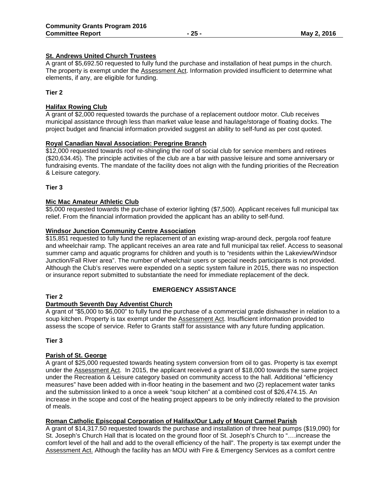#### **St. Andrews United Church Trustees**

A grant of \$5,692.50 requested to fully fund the purchase and installation of heat pumps in the church. The property is exempt under the Assessment Act. Information provided insufficient to determine what elements, if any, are eligible for funding.

#### **Tier 2**

#### **Halifax Rowing Club**

A grant of \$2,000 requested towards the purchase of a replacement outdoor motor. Club receives municipal assistance through less than market value lease and haulage/storage of floating docks. The project budget and financial information provided suggest an ability to self-fund as per cost quoted.

#### **Royal Canadian Naval Association: Peregrine Branch**

\$12,000 requested towards roof re-shingling the roof of social club for service members and retirees (\$20,634.45). The principle activities of the club are a bar with passive leisure and some anniversary or fundraising events. The mandate of the facility does not align with the funding priorities of the Recreation & Leisure category.

**Tier 3**

#### **Mic Mac Amateur Athletic Club**

\$5,000 requested towards the purchase of exterior lighting (\$7,500). Applicant receives full municipal tax relief. From the financial information provided the applicant has an ability to self-fund.

#### **Windsor Junction Community Centre Association**

\$15,851 requested to fully fund the replacement of an existing wrap-around deck, pergola roof feature and wheelchair ramp. The applicant receives an area rate and full municipal tax relief. Access to seasonal summer camp and aquatic programs for children and youth is to "residents within the Lakeview/Windsor Junction/Fall River area". The number of wheelchair users or special needs participants is not provided. Although the Club's reserves were expended on a septic system failure in 2015, there was no inspection or insurance report submitted to substantiate the need for immediate replacement of the deck.

#### **Tier 2**

# **EMERGENCY ASSISTANCE**

#### **Dartmouth Seventh Day Adventist Church**

A grant of "\$5,000 to \$6,000" to fully fund the purchase of a commercial grade dishwasher in relation to a soup kitchen. Property is tax exempt under the Assessment Act. Insufficient information provided to assess the scope of service. Refer to Grants staff for assistance with any future funding application.

#### **Tier 3**

#### **Parish of St. George**

A grant of \$25,000 requested towards heating system conversion from oil to gas. Property is tax exempt under the Assessment Act. In 2015, the applicant received a grant of \$18,000 towards the same project under the Recreation & Leisure category based on community access to the hall. Additional "efficiency measures" have been added with in-floor heating in the basement and two (2) replacement water tanks and the submission linked to a once a week "soup kitchen" at a combined cost of \$26,474.15. An increase in the scope and cost of the heating project appears to be only indirectly related to the provision of meals.

#### **Roman Catholic Episcopal Corporation of Halifax/Our Lady of Mount Carmel Parish**

A grant of \$14,317.50 requested towards the purchase and installation of three heat pumps (\$19,090) for St. Joseph's Church Hall that is located on the ground floor of St. Joseph's Church to "….increase the comfort level of the hall and add to the overall efficiency of the hall". The property is tax exempt under the Assessment Act. Although the facility has an MOU with Fire & Emergency Services as a comfort centre